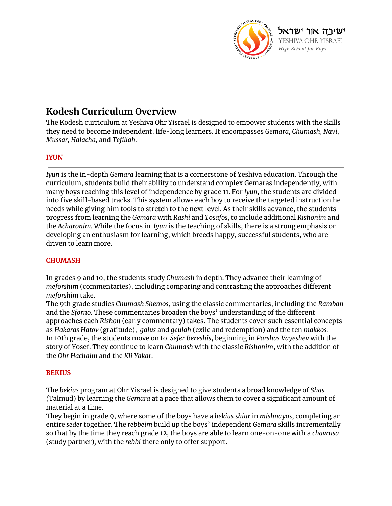

# **Kodesh Curriculum Overview**

The Kodesh curriculum at Yeshiva Ohr Yisrael is designed to empower students with the skills they need to become independent, life-long learners. It encompasses *Gemara, Chumash, Navi, Mussar, Halacha,* and *Tefillah.*

### **IYUN**

*Iyun* is the in-depth *Gemara* learning that is a cornerstone of Yeshiva education. Through the curriculum, students build their ability to understand complex Gemaras independently*,* with many boys reaching this level of independence by grade 11. For *Iyun,* the students are divided into five skill-based tracks. This system allows each boy to receive the targeted instruction he needs while giving him tools to stretch to the next level. As their skills advance, the students progress from learning the *Gemara* with *Rashi* and *Tosafos,* to include additional *Rishonim* and the *Acharonim.* While the focus in *Iyun* is the teaching of skills, there is a strong emphasis on developing an enthusiasm for learning, which breeds happy, successful students, who are driven to learn more.

### **CHUMASH**

In grades 9 and 10, the students study *Chumash* in depth. They advance their learning of *meforshim* (commentaries), including comparing and contrasting the approaches different *meforshim* take.

The 9th grade studies *Chumash Shemos*, using the classic commentaries, including the *Ramban* and the *Sforno.* These commentaries broaden the boys' understanding of the different approaches each *Rishon* (early commentary) takes. The students cover such essential concepts as *Hakaras Hatov* (gratitude), *galus* and *geulah* (exile and redemption) and the ten *makkos.* In 10th grade, the students move on to *Sefer Bereshis*, beginning in *Parshas Vayeshev* with the story of Yosef. They continue to learn *Chumash* with the classic *Rishonim*, with the addition of the *Ohr Hachaim* and the *Kli Yakar*.

### **BEKIUS**

The *bekius* program at Ohr Yisrael is designed to give students a broad knowledge of *Shas (*Talmud) by learning the *Gemara* at a pace that allows them to cover a significant amount of material at a time.

They begin in grade 9, where some of the boys have a *bekius shiur* in *mishnayos*, completing an entire *seder* together. The *rebbeim* build up the boys' independent *Gemara* skills incrementally so that by the time they reach grade 12, the boys are able to learn one-on-one with a *chavrusa* (study partner)*,* with the *rebbi* there only to offer support.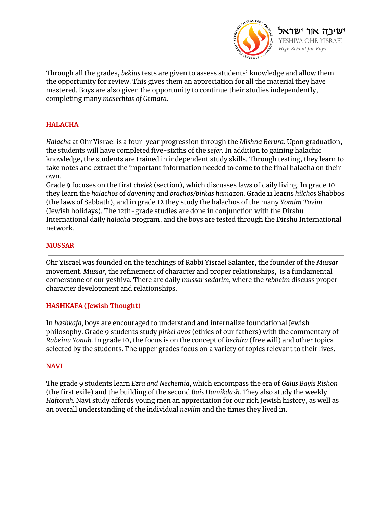

Through all the grades, *bekius* tests are given to assess students' knowledge and allow them the opportunity for review. This gives them an appreciation for all the material they have mastered. Boys are also given the opportunity to continue their studies independently, completing many *masechtas of Gemara.*

## **HALACHA**

*Halacha* at Ohr Yisrael is a four-year progression through the *Mishna Berura*. Upon graduation, the students will have completed five-sixths of the *sefer*. In addition to gaining halachic knowledge, the students are trained in independent study skills. Through testing, they learn to take notes and extract the important information needed to come to the final halacha on their own.

Grade 9 focuses on the first *chelek* (section), which discusses laws of daily living. In grade 10 they learn the *halachos* of *davening* and *brachos/birkas hamazon.* Grade 11 learns *hilchos* Shabbos (the laws of Sabbath), and in grade 12 they study the halachos of the many *Yomim Tovim* (Jewish holidays). The 12th-grade studies are done in conjunction with the Dirshu International daily *halacha* program, and the boys are tested through the Dirshu International network.

#### **MUSSAR**

Ohr Yisrael was founded on the teachings of Rabbi Yisrael Salanter, the founder of the *Mussar* movement. *Mussar,* the refinement of character and proper relationships, is a fundamental cornerstone of our yeshiva. There are daily *mussar sedarim,* where the *rebbeim* discuss proper character development and relationships.

### **HASHKAFA (Jewish Thought)**

In *hashkafa,* boys are encouraged to understand and internalize foundational Jewish philosophy. Grade 9 students study *pirkei avos* (ethics of our fathers) with the commentary of *Rabeinu Yonah.* In grade 10, the focus is on the concept of *bechira* (free will) and other topics selected by the students. The upper grades focus on a variety of topics relevant to their lives.

#### **NAVI**

The grade 9 students learn *Ezra and Nechemia,* which encompass the era of *Galus Bayis Rishon* (the first exile) and the building of the second *Bais Hamikdash.* They also study the weekly *Haftorah.* Navi study affords young men an appreciation for our rich Jewish history, as well as an overall understanding of the individual *neviim* and the times they lived in.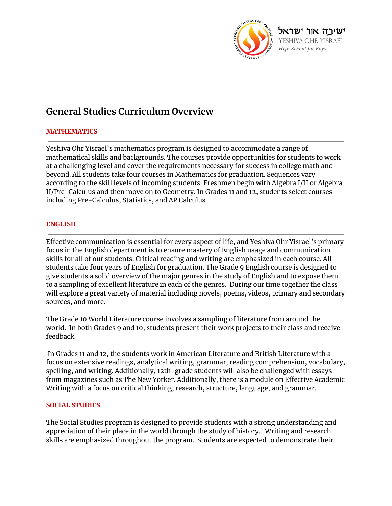

# **General Studies Curriculum Overview**

### **MATHEMATICS**

Yeshiva Ohr Yisrael's mathematics program is designed to accommodate a range of mathematical skills and backgrounds. The courses provide opportunities for students to work at a challenging level and cover the requirements necessary for success in college math and beyond. All students take four courses in Mathematics for graduation. Sequences vary according to the skill levels of incoming students. Freshmen begin with Algebra I/II or Algebra II/Pre-Calculus and then move on to Geometry. In Grades 11 and 12, students select courses including Pre-Calculus, Statistics, and AP Calculus.

### **ENGLISH**

Effective communication is essential for every aspect of life, and Yeshiva Ohr Yisrael's primary focus in the English department is to ensure mastery of English usage and communication skills for all of our students. Critical reading and writing are emphasized in each course. All students take four years of English for graduation. The Grade 9 English course is designed to give students a solid overview of the major genres in the study of English and to expose them to a sampling of excellent literature in each of the genres. During our time together the class will explore a great variety of material including novels, poems, videos, primary and secondary sources, and more.

The Grade 10 World Literature course involves a sampling of literature from around the world. In both Grades 9 and 10, students present their work projects to their class and receive feedback.

In Grades 11 and 12, the students work in American Literature and British Literature with a focus on extensive readings, analytical writing, grammar, reading comprehension, vocabulary, spelling, and writing. Additionally, 12th-grade students will also be challenged with essays from magazines such as The New Yorker. Additionally, there is a module on Effective Academic Writing with a focus on critical thinking, research, structure, language, and grammar.

### **SOCIAL STUDIES**

The Social Studies program is designed to provide students with a strong understanding and appreciation of their place in the world through the study of history. Writing and research skills are emphasized throughout the program. Students are expected to demonstrate their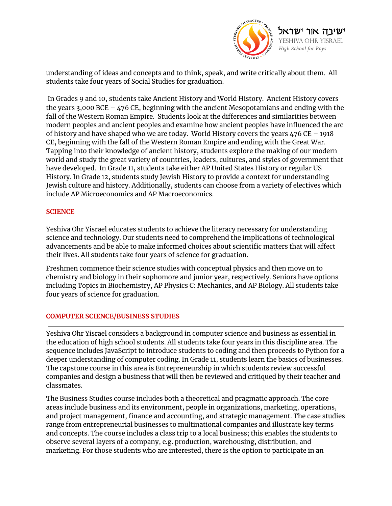

understanding of ideas and concepts and to think, speak, and write critically about them. All students take four years of Social Studies for graduation.

In Grades 9 and 10, students take Ancient History and World History. Ancient History covers the years 3,000 BCE –  $476$  CE, beginning with the ancient Mesopotamians and ending with the fall of the Western Roman Empire. Students look at the differences and similarities between modern peoples and ancient peoples and examine how ancient peoples have influenced the arc of history and have shaped who we are today. World History covers the years 476 CE – 1918 CE, beginning with the fall of the Western Roman Empire and ending with the Great War. Tapping into their knowledge of ancient history, students explore the making of our modern world and study the great variety of countries, leaders, cultures, and styles of government that have developed. In Grade 11, students take either AP United States History or regular US History. In Grade 12, students study Jewish History to provide a context for understanding Jewish culture and history. Additionally, students can choose from a variety of electives which include AP Microeconomics and AP Macroeconomics.

### **SCIENCE**

Yeshiva Ohr Yisrael educates students to achieve the literacy necessary for understanding science and technology. Our students need to comprehend the implications of technological advancements and be able to make informed choices about scientific matters that will affect their lives. All students take four years of science for graduation.

Freshmen commence their science studies with conceptual physics and then move on to chemistry and biology in their sophomore and junior year, respectively. Seniors have options including Topics in Biochemistry, AP Physics C: Mechanics, and AP Biology. All students take four years of science for graduation.

## **COMPUTER SCIENCE/BUSINESS STUDIES**

Yeshiva Ohr Yisrael considers a background in computer science and business as essential in the education of high school students. All students take four years in this discipline area. The sequence includes JavaScript to introduce students to coding and then proceeds to Python for a deeper understanding of computer coding. In Grade 11, students learn the basics of businesses. The capstone course in this area is Entrepreneurship in which students review successful companies and design a business that will then be reviewed and critiqued by their teacher and classmates.

The Business Studies course includes both a theoretical and pragmatic approach. The core areas include business and its environment, people in organizations, marketing, operations, and project management, finance and accounting, and strategic management. The case studies range from entrepreneurial businesses to multinational companies and illustrate key terms and concepts. The course includes a class trip to a local business; this enables the students to observe several layers of a company, e.g. production, warehousing, distribution, and marketing. For those students who are interested, there is the option to participate in an